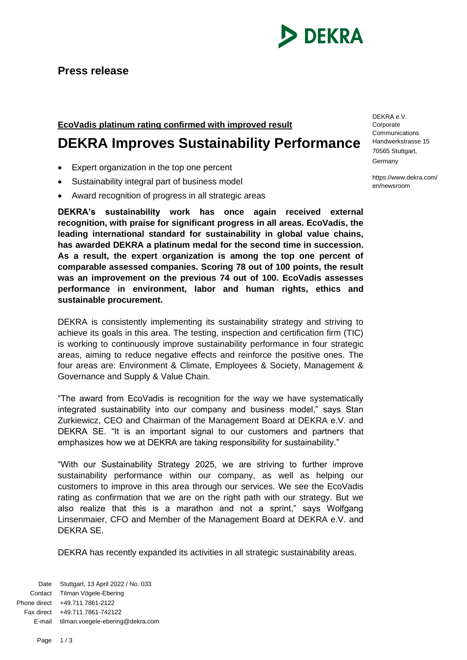

## **EcoVadis platinum rating confirmed with improved result**

## **DEKRA Improves Sustainability Performance**

- Expert organization in the top one percent
- Sustainability integral part of business model
- Award recognition of progress in all strategic areas

**DEKRA's sustainability work has once again received external recognition, with praise for significant progress in all areas. EcoVadis, the leading international standard for sustainability in global value chains, has awarded DEKRA a platinum medal for the second time in succession. As a result, the expert organization is among the top one percent of comparable assessed companies. Scoring 78 out of 100 points, the result was an improvement on the previous 74 out of 100. EcoVadis assesses performance in environment, labor and human rights, ethics and sustainable procurement.**

DEKRA is consistently implementing its sustainability strategy and striving to achieve its goals in this area. The testing, inspection and certification firm (TIC) is working to continuously improve sustainability performance in four strategic areas, aiming to reduce negative effects and reinforce the positive ones. The four areas are: Environment & Climate, Employees & Society, Management & Governance and Supply & Value Chain.

"The award from EcoVadis is recognition for the way we have systematically integrated sustainability into our company and business model," says Stan Zurkiewicz, CEO and Chairman of the Management Board at DEKRA e.V. and DEKRA SE. "It is an important signal to our customers and partners that emphasizes how we at DEKRA are taking responsibility for sustainability."

"With our Sustainability Strategy 2025, we are striving to further improve sustainability performance within our company, as well as helping our customers to improve in this area through our services. We see the EcoVadis rating as confirmation that we are on the right path with our strategy. But we also realize that this is a marathon and not a sprint," says Wolfgang Linsenmaier, CFO and Member of the Management Board at DEKRA e.V. and DEKRA SE.

DEKRA has recently expanded its activities in all strategic sustainability areas.

Date Stuttgart, 13 April 2022 / No. 033 Contact Tilman Vögele-Ebering Phone direct +49.711.7861-2122 Fax direct +49.711.7861-742122 E-mail tilman.voegele-ebering@dekra.com DEKRA e.V. Corporate Communications Handwerkstrasse 15 70565 Stuttgart, Germany

https://www.dekra.com/ en/newsroom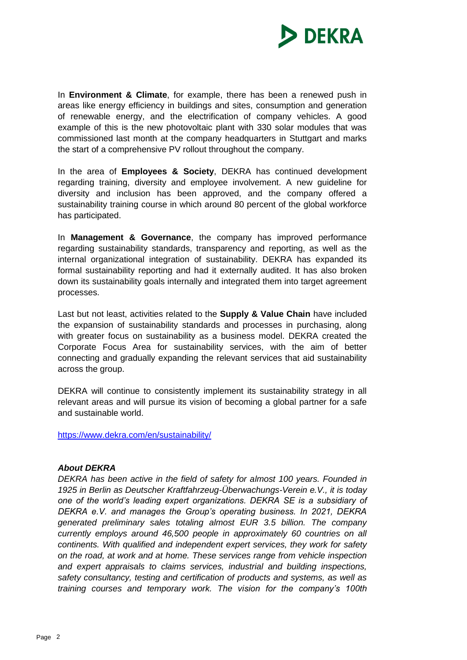

In **Environment & Climate**, for example, there has been a renewed push in areas like energy efficiency in buildings and sites, consumption and generation of renewable energy, and the electrification of company vehicles. A good example of this is the new photovoltaic plant with 330 solar modules that was commissioned last month at the company headquarters in Stuttgart and marks the start of a comprehensive PV rollout throughout the company.

In the area of **Employees & Society**, DEKRA has continued development regarding training, diversity and employee involvement. A new guideline for diversity and inclusion has been approved, and the company offered a sustainability training course in which around 80 percent of the global workforce has participated.

In **Management & Governance**, the company has improved performance regarding sustainability standards, transparency and reporting, as well as the internal organizational integration of sustainability. DEKRA has expanded its formal sustainability reporting and had it externally audited. It has also broken down its sustainability goals internally and integrated them into target agreement processes.

Last but not least, activities related to the **Supply & Value Chain** have included the expansion of sustainability standards and processes in purchasing, along with greater focus on sustainability as a business model. DEKRA created the Corporate Focus Area for sustainability services, with the aim of better connecting and gradually expanding the relevant services that aid sustainability across the group.

DEKRA will continue to consistently implement its sustainability strategy in all relevant areas and will pursue its vision of becoming a global partner for a safe and sustainable world.

<https://www.dekra.com/en/sustainability/>

## *About DEKRA*

*DEKRA has been active in the field of safety for almost 100 years. Founded in 1925 in Berlin as Deutscher Kraftfahrzeug-Überwachungs-Verein e.V., it is today one of the world's leading expert organizations. DEKRA SE is a subsidiary of DEKRA e.V. and manages the Group's operating business. In 2021, DEKRA generated preliminary sales totaling almost EUR 3.5 billion. The company currently employs around 46,500 people in approximately 60 countries on all continents. With qualified and independent expert services, they work for safety on the road, at work and at home. These services range from vehicle inspection and expert appraisals to claims services, industrial and building inspections, safety consultancy, testing and certification of products and systems, as well as training courses and temporary work. The vision for the company's 100th*